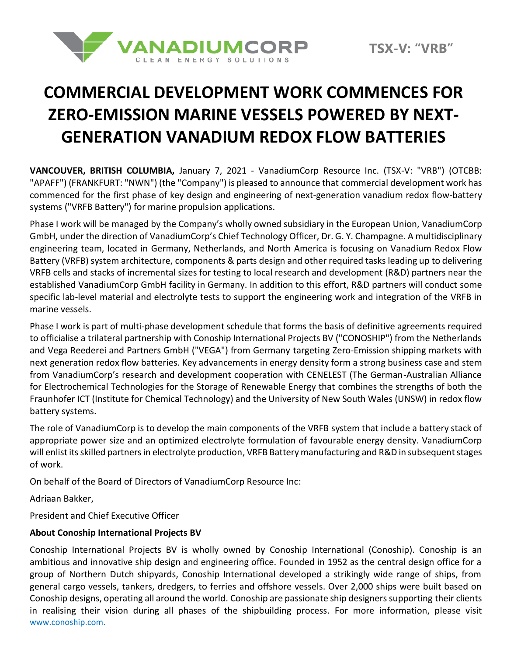

# **COMMERCIAL DEVELOPMENT WORK COMMENCES FOR ZERO-EMISSION MARINE VESSELS POWERED BY NEXT-GENERATION VANADIUM REDOX FLOW BATTERIES**

**VANCOUVER, BRITISH COLUMBIA,** January 7, 2021 - VanadiumCorp Resource Inc. (TSX-V: "VRB") (OTCBB: "APAFF") (FRANKFURT: "NWN") (the "Company") is pleased to announce that commercial development work has commenced for the first phase of key design and engineering of next-generation vanadium redox flow-battery systems ("VRFB Battery") for marine propulsion applications.

Phase I work will be managed by the Company's wholly owned subsidiary in the European Union, VanadiumCorp GmbH, under the direction of VanadiumCorp's Chief Technology Officer, Dr. G. Y. Champagne. A multidisciplinary engineering team, located in Germany, Netherlands, and North America is focusing on Vanadium Redox Flow Battery (VRFB) system architecture, components & parts design and other required tasks leading up to delivering VRFB cells and stacks of incremental sizes for testing to local research and development (R&D) partners near the established VanadiumCorp GmbH facility in Germany. In addition to this effort, R&D partners will conduct some specific lab-level material and electrolyte tests to support the engineering work and integration of the VRFB in marine vessels.

Phase I work is part of multi-phase development schedule that forms the basis of definitive agreements required to officialise a trilateral partnership with Conoship International Projects BV ("CONOSHIP") from the Netherlands and Vega Reederei and Partners GmbH ("VEGA") from Germany targeting Zero-Emission shipping markets with next generation redox flow batteries. Key advancements in energy density form a strong business case and stem from VanadiumCorp's research and development cooperation with CENELEST (The German-Australian Alliance for Electrochemical Technologies for the Storage of Renewable Energy that combines the strengths of both the Fraunhofer ICT (Institute for Chemical Technology) and the University of New South Wales (UNSW) in redox flow battery systems.

The role of VanadiumCorp is to develop the main components of the VRFB system that include a battery stack of appropriate power size and an optimized electrolyte formulation of favourable energy density. VanadiumCorp will enlist its skilled partners in electrolyte production, VRFB Battery manufacturing and R&D in subsequent stages of work.

On behalf of the Board of Directors of VanadiumCorp Resource Inc:

Adriaan Bakker,

President and Chief Executive Officer

### **About Conoship International Projects BV**

Conoship International Projects BV is wholly owned by Conoship International (Conoship). Conoship is an ambitious and innovative ship design and engineering office. Founded in 1952 as the central design office for a group of Northern Dutch shipyards, Conoship International developed a strikingly wide range of ships, from general cargo vessels, tankers, dredgers, to ferries and offshore vessels. Over 2,000 ships were built based on Conoship designs, operating all around the world. Conoship are passionate ship designers supporting their clients in realising their vision during all phases of the shipbuilding process. For more information, please visit [www.conoship.com.](http://www.conoship.com/)